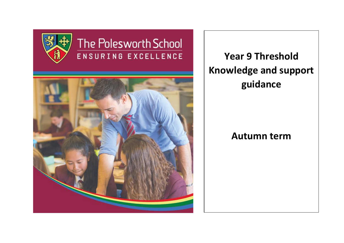

# The Polesworth School ENSURING EXCELLENCE



**Year 9 Threshold Knowledge and support guidance**

## **Autumn term**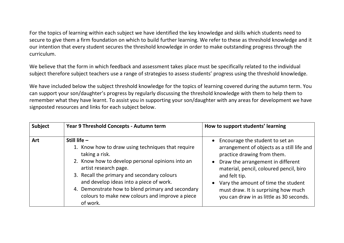For the topics of learning within each subject we have identified the key knowledge and skills which students need to secure to give them a firm foundation on which to build further learning. We refer to these as threshold knowledge and it our intention that every student secures the threshold knowledge in order to make outstanding progress through the curriculum.

We believe that the form in which feedback and assessment takes place must be specifically related to the individual subject therefore subject teachers use a range of strategies to assess students' progress using the threshold knowledge.

We have included below the subject threshold knowledge for the topics of learning covered during the autumn term. You can support your son/daughter's progress by regularly discussing the threshold knowledge with them to help them to remember what they have learnt. To assist you in supporting your son/daughter with any areas for development we have signposted resources and links for each subject below.

| <b>Subject</b> | Year 9 Threshold Concepts - Autumn term                                                                                                                                                                                                                                                                                                                                          | How to support students' learning                                                                                                                                                                                                                                                                                                          |
|----------------|----------------------------------------------------------------------------------------------------------------------------------------------------------------------------------------------------------------------------------------------------------------------------------------------------------------------------------------------------------------------------------|--------------------------------------------------------------------------------------------------------------------------------------------------------------------------------------------------------------------------------------------------------------------------------------------------------------------------------------------|
| Art            | Still life $-$<br>1. Know how to draw using techniques that require<br>taking a risk.<br>2. Know how to develop personal opinions into an<br>artist research page.<br>3. Recall the primary and secondary colours<br>and develop ideas into a piece of work.<br>4. Demonstrate how to blend primary and secondary<br>colours to make new colours and improve a piece<br>of work. | • Encourage the student to set an<br>arrangement of objects as a still life and<br>practice drawing from them.<br>Draw the arrangement in different<br>material, pencil, coloured pencil, biro<br>and felt tip.<br>Vary the amount of time the student<br>must draw. It is surprising how much<br>you can draw in as little as 30 seconds. |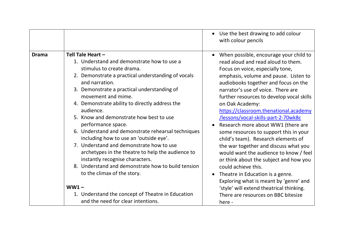|              |                                                                                                                                                                                                                                                                                                                                                                                                                                                                                                                                                                                                                                                                                                                                                                                                          | Use the best drawing to add colour<br>with colour pencils                                                                                                                                                                                                                                                                                                                                                                                                                                                                                                                                                                                                                                                                                                                                                                                     |
|--------------|----------------------------------------------------------------------------------------------------------------------------------------------------------------------------------------------------------------------------------------------------------------------------------------------------------------------------------------------------------------------------------------------------------------------------------------------------------------------------------------------------------------------------------------------------------------------------------------------------------------------------------------------------------------------------------------------------------------------------------------------------------------------------------------------------------|-----------------------------------------------------------------------------------------------------------------------------------------------------------------------------------------------------------------------------------------------------------------------------------------------------------------------------------------------------------------------------------------------------------------------------------------------------------------------------------------------------------------------------------------------------------------------------------------------------------------------------------------------------------------------------------------------------------------------------------------------------------------------------------------------------------------------------------------------|
| <b>Drama</b> | Tell Tale Heart -<br>1. Understand and demonstrate how to use a<br>stimulus to create drama.<br>2. Demonstrate a practical understanding of vocals<br>and narration.<br>3. Demonstrate a practical understanding of<br>movement and mime.<br>4. Demonstrate ability to directly address the<br>audience.<br>5. Know and demonstrate how best to use<br>performance space.<br>6. Understand and demonstrate rehearsal techniques<br>including how to use an 'outside eye'.<br>7. Understand and demonstrate how to use<br>archetypes in the theatre to help the audience to<br>instantly recognise characters.<br>8. Understand and demonstrate how to build tension<br>to the climax of the story.<br>$WW1 -$<br>1. Understand the concept of Theatre in Education<br>and the need for clear intentions. | When possible, encourage your child to<br>read aloud and read aloud to them.<br>Focus on voice, especially tone,<br>emphasis, volume and pause. Listen to<br>audiobooks together and focus on the<br>narrator's use of voice. There are<br>further resources to develop vocal skills<br>on Oak Academy:<br>https://classroom.thenational.academy<br>/lessons/vocal-skills-part-2-70wk8c<br>Research more about WW1 (there are<br>some resources to support this in your<br>child's team). Research elements of<br>the war together and discuss what you<br>would want the audience to know / feel<br>or think about the subject and how you<br>could achieve this.<br>Theatre in Education is a genre.<br>Exploring what is meant by 'genre' and<br>'style' will extend theatrical thinking.<br>There are resources on BBC bitesize<br>here - |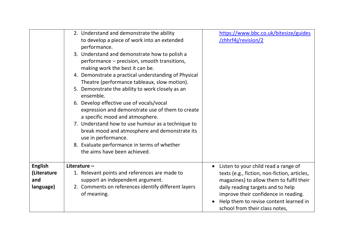|                | 2. Understand and demonstrate the ability<br>to develop a piece of work into an extended<br>performance.<br>3. Understand and demonstrate how to polish a<br>performance – precision, smooth transitions,<br>making work the best it can be.<br>4. Demonstrate a practical understanding of Physical<br>Theatre (performance tableaux, slow motion).<br>5. Demonstrate the ability to work closely as an<br>ensemble.<br>6. Develop effective use of vocals/vocal<br>expression and demonstrate use of them to create<br>a specific mood and atmosphere.<br>7. Understand how to use humour as a technique to<br>break mood and atmosphere and demonstrate its<br>use in performance.<br>8. Evaluate performance in terms of whether<br>the aims have been achieved. | https://www.bbc.co.uk/bitesize/guides<br>/zhhrf4j/revision/2                                                                                          |
|----------------|----------------------------------------------------------------------------------------------------------------------------------------------------------------------------------------------------------------------------------------------------------------------------------------------------------------------------------------------------------------------------------------------------------------------------------------------------------------------------------------------------------------------------------------------------------------------------------------------------------------------------------------------------------------------------------------------------------------------------------------------------------------------|-------------------------------------------------------------------------------------------------------------------------------------------------------|
|                |                                                                                                                                                                                                                                                                                                                                                                                                                                                                                                                                                                                                                                                                                                                                                                      |                                                                                                                                                       |
| <b>English</b> | Literature $-$                                                                                                                                                                                                                                                                                                                                                                                                                                                                                                                                                                                                                                                                                                                                                       | Listen to your child read a range of                                                                                                                  |
| (Literature    | 1. Relevant points and references are made to                                                                                                                                                                                                                                                                                                                                                                                                                                                                                                                                                                                                                                                                                                                        | texts (e.g., fiction, non-fiction, articles,                                                                                                          |
| and            | support an independent argument.                                                                                                                                                                                                                                                                                                                                                                                                                                                                                                                                                                                                                                                                                                                                     | magazines) to allow them to fulfil their                                                                                                              |
| language)      | 2. Comments on references identify different layers<br>of meaning.                                                                                                                                                                                                                                                                                                                                                                                                                                                                                                                                                                                                                                                                                                   | daily reading targets and to help<br>improve their confidence in reading.<br>Help them to revise content learned in<br>school from their class notes, |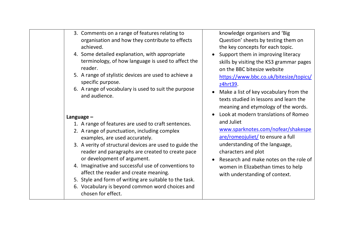|              | 3. Comments on a range of features relating to<br>organisation and how they contribute to effects<br>achieved.<br>4. Some detailed explanation, with appropriate<br>terminology, of how language is used to affect the<br>reader. | knowledge organisers and 'Big<br>Question' sheets by testing them on<br>the key concepts for each topic.<br>Support them in improving literacy<br>skills by visiting the KS3 grammar pages<br>on the BBC bitesize website |
|--------------|-----------------------------------------------------------------------------------------------------------------------------------------------------------------------------------------------------------------------------------|---------------------------------------------------------------------------------------------------------------------------------------------------------------------------------------------------------------------------|
|              | 5. A range of stylistic devices are used to achieve a<br>specific purpose.                                                                                                                                                        | https://www.bbc.co.uk/bitesize/topics/<br>z4hrt39.                                                                                                                                                                        |
|              | 6. A range of vocabulary is used to suit the purpose<br>and audience.                                                                                                                                                             | Make a list of key vocabulary from the<br>texts studied in lessons and learn the<br>meaning and etymology of the words.                                                                                                   |
| Language $-$ |                                                                                                                                                                                                                                   | Look at modern translations of Romeo                                                                                                                                                                                      |
|              | 1. A range of features are used to craft sentences.                                                                                                                                                                               | and Juliet                                                                                                                                                                                                                |
|              | 2. A range of punctuation, including complex<br>examples, are used accurately.                                                                                                                                                    | www.sparknotes.com/nofear/shakespe<br>are/romeojuliet/ to ensure a full                                                                                                                                                   |
|              | 3. A verity of structural devices are used to guide the<br>reader and paragraphs are created to create pace                                                                                                                       | understanding of the language,<br>characters and plot                                                                                                                                                                     |
|              | or development of argument.<br>4. Imaginative and successful use of conventions to<br>affect the reader and create meaning.                                                                                                       | Research and make notes on the role of<br>women in Elizabethan times to help<br>with understanding of context.                                                                                                            |
|              | 5. Style and form of writing are suitable to the task.                                                                                                                                                                            |                                                                                                                                                                                                                           |
|              | 6. Vocabulary is beyond common word choices and<br>chosen for effect.                                                                                                                                                             |                                                                                                                                                                                                                           |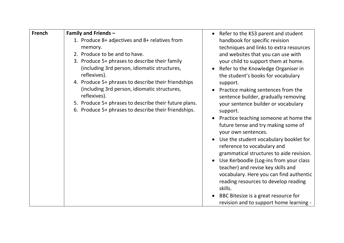| French | <b>Family and Friends -</b>                           | • Refer to the KS3 parent and student              |
|--------|-------------------------------------------------------|----------------------------------------------------|
|        | 1. Produce 8+ adjectives and 8+ relatives from        | handbook for specific revision                     |
|        | memory.                                               | techniques and links to extra resources            |
|        | 2. Produce to be and to have.                         | and websites that you can use with                 |
|        | 3. Produce 5+ phrases to describe their family        | your child to support them at home.                |
|        | (including 3rd person, idiomatic structures,          | Refer to the Knowledge Organiser in                |
|        | reflexives).                                          | the student's books for vocabulary                 |
|        | 4. Produce 5+ phrases to describe their friendships   | support.                                           |
|        | (including 3rd person, idiomatic structures,          | Practice making sentences from the                 |
|        | reflexives).                                          | sentence builder, gradually removing               |
|        | 5. Produce 5+ phrases to describe their future plans. | your sentence builder or vocabulary                |
|        | 6. Produce 5+ phrases to describe their friendships.  | support.                                           |
|        |                                                       | Practice teaching someone at home the<br>$\bullet$ |
|        |                                                       | future tense and try making some of                |
|        |                                                       | your own sentences.                                |
|        |                                                       | Use the student vocabulary booklet for             |
|        |                                                       | reference to vocabulary and                        |
|        |                                                       | grammatical structures to aide revision.           |
|        |                                                       | Use Kerboodle (Log-ins from your class             |
|        |                                                       | teacher) and revise key skills and                 |
|        |                                                       | vocabulary. Here you can find authentic            |
|        |                                                       | reading resources to develop reading               |
|        |                                                       | skills.                                            |
|        |                                                       | BBC Bitesize is a great resource for               |
|        |                                                       | revision and to support home learning -            |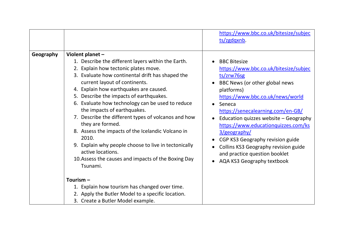|           |                                                                                                                                                                                                                                                                                                                                                                                                                                                                                                                                                                                                                                                                      | https://www.bbc.co.uk/bitesize/subjec<br>ts/zgdqxnb.                                                                                                                                                                                                                                                                                                                                                                                                                         |
|-----------|----------------------------------------------------------------------------------------------------------------------------------------------------------------------------------------------------------------------------------------------------------------------------------------------------------------------------------------------------------------------------------------------------------------------------------------------------------------------------------------------------------------------------------------------------------------------------------------------------------------------------------------------------------------------|------------------------------------------------------------------------------------------------------------------------------------------------------------------------------------------------------------------------------------------------------------------------------------------------------------------------------------------------------------------------------------------------------------------------------------------------------------------------------|
| Geography | Violent planet -<br>1. Describe the different layers within the Earth.<br>2. Explain how tectonic plates move.<br>3. Evaluate how continental drift has shaped the<br>current layout of continents.<br>4. Explain how earthquakes are caused.<br>5. Describe the impacts of earthquakes.<br>6. Evaluate how technology can be used to reduce<br>the impacts of earthquakes.<br>7. Describe the different types of volcanos and how<br>they are formed.<br>8. Assess the impacts of the Icelandic Volcano in<br>2010.<br>9. Explain why people choose to live in tectonically<br>active locations.<br>10. Assess the causes and impacts of the Boxing Day<br>Tsunami. | <b>BBC Bitesize</b><br>https://www.bbc.co.uk/bitesize/subjec<br>ts/zrw76sg<br>BBC News (or other global news<br>platforms)<br>https://www.bbc.co.uk/news/world<br>Seneca<br>$\bullet$<br>https://senecalearning.com/en-GB/<br>Education quizzes website - Geography<br>https://www.educationquizzes.com/ks<br>3/geography/<br>CGP KS3 Geography revision guide<br>Collins KS3 Geography revision guide<br>and practice question booklet<br><b>AQA KS3 Geography textbook</b> |
|           | Tourism $-$<br>1. Explain how tourism has changed over time.<br>2. Apply the Butler Model to a specific location.<br>3. Create a Butler Model example.                                                                                                                                                                                                                                                                                                                                                                                                                                                                                                               |                                                                                                                                                                                                                                                                                                                                                                                                                                                                              |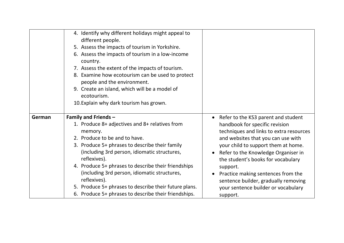|        | 4. Identify why different holidays might appeal to<br>different people.<br>5. Assess the impacts of tourism in Yorkshire.<br>6. Assess the impacts of tourism in a low-income<br>country.<br>7. Assess the extent of the impacts of tourism.<br>8. Examine how ecotourism can be used to protect<br>people and the environment.<br>9. Create an island, which will be a model of<br>ecotourism.<br>10. Explain why dark tourism has grown.                                          |                                                                                                                                                                                                                                                                                                                                                                                                                         |
|--------|-------------------------------------------------------------------------------------------------------------------------------------------------------------------------------------------------------------------------------------------------------------------------------------------------------------------------------------------------------------------------------------------------------------------------------------------------------------------------------------|-------------------------------------------------------------------------------------------------------------------------------------------------------------------------------------------------------------------------------------------------------------------------------------------------------------------------------------------------------------------------------------------------------------------------|
| German | <b>Family and Friends -</b><br>1. Produce 8+ adjectives and 8+ relatives from<br>memory.<br>2. Produce to be and to have.<br>3. Produce 5+ phrases to describe their family<br>(including 3rd person, idiomatic structures,<br>reflexives).<br>4. Produce 5+ phrases to describe their friendships<br>(including 3rd person, idiomatic structures,<br>reflexives).<br>5. Produce 5+ phrases to describe their future plans.<br>6. Produce 5+ phrases to describe their friendships. | Refer to the KS3 parent and student<br>handbook for specific revision<br>techniques and links to extra resources<br>and websites that you can use with<br>your child to support them at home.<br>Refer to the Knowledge Organiser in<br>the student's books for vocabulary<br>support.<br>Practice making sentences from the<br>sentence builder, gradually removing<br>your sentence builder or vocabulary<br>support. |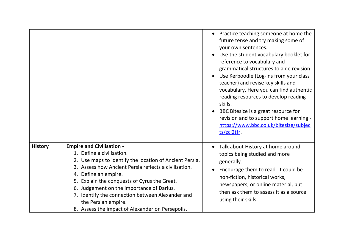|                |                                                                                                                                                                                                                                                                                                                                                                                                                                       |           | • Practice teaching someone at home the<br>future tense and try making some of<br>your own sentences.<br>Use the student vocabulary booklet for<br>reference to vocabulary and<br>grammatical structures to aide revision.<br>Use Kerboodle (Log-ins from your class<br>teacher) and revise key skills and<br>vocabulary. Here you can find authentic<br>reading resources to develop reading<br>skills.<br>BBC Bitesize is a great resource for<br>revision and to support home learning -<br>https://www.bbc.co.uk/bitesize/subjec<br>ts/zcj2tfr. |
|----------------|---------------------------------------------------------------------------------------------------------------------------------------------------------------------------------------------------------------------------------------------------------------------------------------------------------------------------------------------------------------------------------------------------------------------------------------|-----------|-----------------------------------------------------------------------------------------------------------------------------------------------------------------------------------------------------------------------------------------------------------------------------------------------------------------------------------------------------------------------------------------------------------------------------------------------------------------------------------------------------------------------------------------------------|
| <b>History</b> | <b>Empire and Civilisation -</b><br>1. Define a civilisation.<br>2. Use maps to identify the location of Ancient Persia.<br>3. Assess how Ancient Persia reflects a civilisation.<br>4. Define an empire.<br>5. Explain the conquests of Cyrus the Great.<br>6. Judgement on the importance of Darius.<br>7. Identify the connection between Alexander and<br>the Persian empire.<br>8. Assess the impact of Alexander on Persepolis. | $\bullet$ | Talk about History at home around<br>topics being studied and more<br>generally.<br>Encourage them to read. It could be<br>non-fiction, historical works,<br>newspapers, or online material, but<br>then ask them to assess it as a source<br>using their skills.                                                                                                                                                                                                                                                                                   |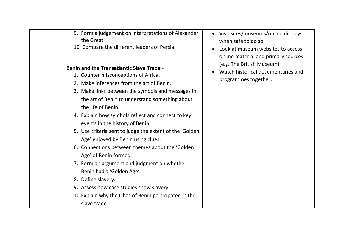| 9. Form a judgement on interpretations of Alexander<br>the Great. |  |
|-------------------------------------------------------------------|--|
| 10. Compare the different leaders of Persia.                      |  |
|                                                                   |  |
| <b>Benin and the Transatlantic Slave Trade -</b>                  |  |
| 1. Counter misconceptions of Africa.                              |  |
| 2. Make inferences from the art of Benin.                         |  |
| 3. Make links between the symbols and messages in                 |  |
| the art of Benin to understand something about                    |  |
| the life of Benin.                                                |  |
| 4. Explain how symbols reflect and connect to key                 |  |
| events in the history of Benin.                                   |  |
| 5. Use criteria sent to judge the extent of the 'Golden           |  |
| Age' enjoyed by Benin using clues.                                |  |
| 6. Connections between themes about the 'Golden                   |  |
| Age' of Benin formed.                                             |  |
| 7. Form an argument and judgment on whether                       |  |
| Benin had a 'Golden Age'.                                         |  |
| 8. Define slavery.                                                |  |
| 9. Assess how case studies show slavery.                          |  |
| 10. Explain why the Obas of Benin participated in the             |  |
| slave trade.                                                      |  |

- Visit sites/museums/online displays when safe to do so.
- Look at museum websites to access online material and primary sources (e.g. The British Museum).
- Watch historical documentaries and programmes together.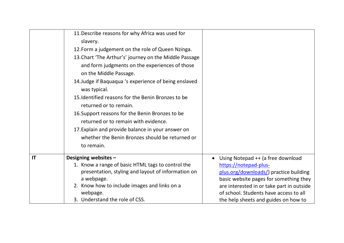|                        | 11. Describe reasons for why Africa was used for       |                                           |
|------------------------|--------------------------------------------------------|-------------------------------------------|
|                        | slavery.                                               |                                           |
|                        | 12. Form a judgement on the role of Queen Nzinga.      |                                           |
|                        | 13. Chart 'The Arthur's' journey on the Middle Passage |                                           |
|                        | and form judgments on the experiences of those         |                                           |
|                        | on the Middle Passage.                                 |                                           |
|                        | 14. Judge if Baquaqua 's experience of being enslaved  |                                           |
|                        | was typical.                                           |                                           |
|                        | 15. Identified reasons for the Benin Bronzes to be     |                                           |
|                        | returned or to remain.                                 |                                           |
|                        | 16. Support reasons for the Benin Bronzes to be        |                                           |
|                        | returned or to remain with evidence.                   |                                           |
|                        | 17. Explain and provide balance in your answer on      |                                           |
|                        | whether the Benin Bronzes should be returned or        |                                           |
|                        | to remain.                                             |                                           |
|                        |                                                        |                                           |
| $\mathsf{I}\mathsf{T}$ | Designing websites -                                   | Using Notepad ++ (a free download         |
|                        | 1. Know a range of basic HTML tags to control the      | https://notepad-plus-                     |
|                        | presentation, styling and layout of information on     | plus.org/downloads/) practice building    |
|                        | a webpage.                                             | basic website pages for something they    |
|                        | 2. Know how to include images and links on a           | are interested in or take part in outside |
|                        | webpage.                                               | of school. Students have access to all    |
|                        | 3. Understand the role of CSS.                         | the help sheets and guides on how to      |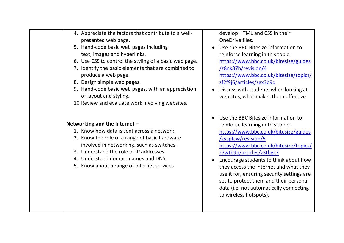| 4. Appreciate the factors that contribute to a well-<br>presented web page.<br>5. Hand-code basic web pages including<br>text, images and hyperlinks.<br>6. Use CSS to control the styling of a basic web page.<br>7. Identify the basic elements that are combined to<br>produce a web page.<br>8. Design simple web pages.<br>9. Hand-code basic web pages, with an appreciation<br>of layout and styling.<br>10. Review and evaluate work involving websites. | develop HTML and CSS in their<br>OneDrive files.<br>Use the BBC Bitesize information to<br>reinforce learning in this topic:<br>https://www.bbc.co.uk/bitesize/guides<br>/z8nk87h/revision/4<br>https://www.bbc.co.uk/bitesize/topics/<br>zf2f9j6/articles/zgx3b9q<br>Discuss with students when looking at<br>websites, what makes them effective.                                                                                                            |
|------------------------------------------------------------------------------------------------------------------------------------------------------------------------------------------------------------------------------------------------------------------------------------------------------------------------------------------------------------------------------------------------------------------------------------------------------------------|----------------------------------------------------------------------------------------------------------------------------------------------------------------------------------------------------------------------------------------------------------------------------------------------------------------------------------------------------------------------------------------------------------------------------------------------------------------|
| Networking and the Internet -<br>1. Know how data is sent across a network.<br>2. Know the role of a range of basic hardware<br>involved in networking, such as switches.<br>3. Understand the role of IP addresses.<br>4. Understand domain names and DNS.<br>5. Know about a range of Internet services                                                                                                                                                        | Use the BBC Bitesize information to<br>reinforce learning in this topic:<br>https://www.bbc.co.uk/bitesize/guides<br>/zvspfcw/revision/5<br>https://www.bbc.co.uk/bitesize/topics/<br>z7wtb9q/articles/z3tbgk7<br>Encourage students to think about how<br>they access the internet and what they<br>use it for, ensuring security settings are<br>set to protect them and their personal<br>data (i.e. not automatically connecting<br>to wireless hotspots). |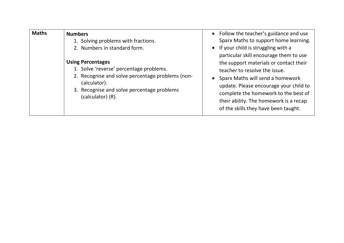| <b>Maths</b> | <b>Numbers</b><br>1. Solving problems with fractions.<br>2. Numbers in standard form.<br><b>Using Percentages</b><br>1. Solve 'reverse' percentage problems.<br>2. Recognise and solve percentage problems (non-<br>calculator).<br>3. Recognise and solve percentage problems<br>(calculator) (R). | • Follow the teacher's guidance and use<br>Sparx Maths to support home learning.<br>• If your child is struggling with a<br>particular skill encourage them to use<br>the support materials or contact their<br>teacher to resolve the issue.<br>Sparx Maths will send a homework<br>$\bullet$<br>update. Please encourage your child to<br>complete the homework to the best of<br>their ability. The homework is a recap<br>of the skills they have been taught. |
|--------------|-----------------------------------------------------------------------------------------------------------------------------------------------------------------------------------------------------------------------------------------------------------------------------------------------------|--------------------------------------------------------------------------------------------------------------------------------------------------------------------------------------------------------------------------------------------------------------------------------------------------------------------------------------------------------------------------------------------------------------------------------------------------------------------|
|--------------|-----------------------------------------------------------------------------------------------------------------------------------------------------------------------------------------------------------------------------------------------------------------------------------------------------|--------------------------------------------------------------------------------------------------------------------------------------------------------------------------------------------------------------------------------------------------------------------------------------------------------------------------------------------------------------------------------------------------------------------------------------------------------------------|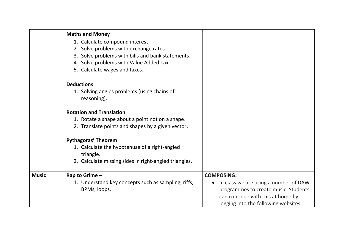|              | <b>Maths and Money</b>                                     |                                       |
|--------------|------------------------------------------------------------|---------------------------------------|
|              | 1. Calculate compound interest.                            |                                       |
|              | 2. Solve problems with exchange rates.                     |                                       |
|              | 3. Solve problems with bills and bank statements.          |                                       |
|              | 4. Solve problems with Value Added Tax.                    |                                       |
|              | 5. Calculate wages and taxes.                              |                                       |
|              | <b>Deductions</b>                                          |                                       |
|              | 1. Solving angles problems (using chains of<br>reasoning). |                                       |
|              | <b>Rotation and Translation</b>                            |                                       |
|              | 1. Rotate a shape about a point not on a shape.            |                                       |
|              | 2. Translate points and shapes by a given vector.          |                                       |
|              | <b>Pythagoras' Theorem</b>                                 |                                       |
|              | 1. Calculate the hypotenuse of a right-angled<br>triangle. |                                       |
|              | 2. Calculate missing sides in right-angled triangles.      |                                       |
| <b>Music</b> | Rap to Grime -                                             | <b>COMPOSING:</b>                     |
|              | 1. Understand key concepts such as sampling, riffs,        | In class we are using a number of DAW |
|              | BPMs, loops.                                               | programmes to create music. Students  |
|              |                                                            | can continue with this at home by     |
|              |                                                            | logging into the following websites:  |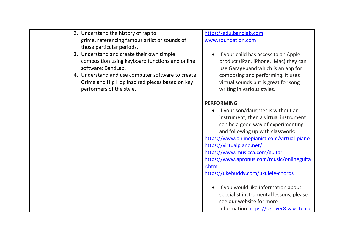| 2. Understand the history of rap to<br>grime, referencing famous artist or sounds of<br>those particular periods.<br>3. Understand and create their own simple<br>composition using keyboard functions and online<br>software: BandLab.<br>4. Understand and use computer software to create<br>Grime and Hip Hop inspired pieces based on key<br>performers of the style. | https://edu.bandlab.com<br>www.soundation.com<br>If your child has access to an Apple<br>product (iPad, iPhone, iMac) they can<br>use Garageband which is an app for<br>composing and performing. It uses<br>virtual sounds but is great for song<br>writing in various styles.                                                                                                                                                                                                                                                                  |
|----------------------------------------------------------------------------------------------------------------------------------------------------------------------------------------------------------------------------------------------------------------------------------------------------------------------------------------------------------------------------|--------------------------------------------------------------------------------------------------------------------------------------------------------------------------------------------------------------------------------------------------------------------------------------------------------------------------------------------------------------------------------------------------------------------------------------------------------------------------------------------------------------------------------------------------|
|                                                                                                                                                                                                                                                                                                                                                                            | <b>PERFORMING</b><br>• if your son/daughter is without an<br>instrument, then a virtual instrument<br>can be a good way of experimenting<br>and following up with classwork:<br>https://www.onlinepianist.com/virtual-piano<br>https://virtualpiano.net/<br>https://www.musicca.com/guitar<br>https://www.apronus.com/music/onlineguita<br>r.htm<br>https://ukebuddy.com/ukulele-chords<br>If you would like information about<br>specialist instrumental lessons, please<br>see our website for more<br>information https://sglover8.wixsite.co |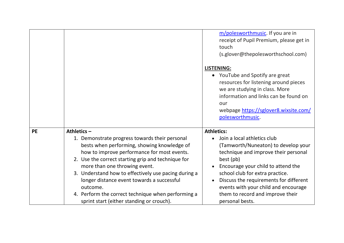|           |                                                                                                                                                                                                                                                                                                                                                                                                                                                          | m/polesworthmusic. If you are in<br>receipt of Pupil Premium, please get in<br>touch<br>(s.glover@thepolesworthschool.com)<br><b>LISTENING:</b><br>• YouTube and Spotify are great<br>resources for listening around pieces<br>we are studying in class. More<br>information and links can be found on<br>our<br>webpage https://sglover8.wixsite.com/<br>polesworthmusic. |
|-----------|----------------------------------------------------------------------------------------------------------------------------------------------------------------------------------------------------------------------------------------------------------------------------------------------------------------------------------------------------------------------------------------------------------------------------------------------------------|----------------------------------------------------------------------------------------------------------------------------------------------------------------------------------------------------------------------------------------------------------------------------------------------------------------------------------------------------------------------------|
|           |                                                                                                                                                                                                                                                                                                                                                                                                                                                          |                                                                                                                                                                                                                                                                                                                                                                            |
| <b>PE</b> | Athletics-                                                                                                                                                                                                                                                                                                                                                                                                                                               | <b>Athletics:</b>                                                                                                                                                                                                                                                                                                                                                          |
|           | 1. Demonstrate progress towards their personal<br>bests when performing, showing knowledge of<br>how to improve performance for most events.<br>2. Use the correct starting grip and technique for<br>more than one throwing event.<br>3. Understand how to effectively use pacing during a<br>longer distance event towards a successful<br>outcome.<br>4. Perform the correct technique when performing a<br>sprint start (either standing or crouch). | Join a local athletics club<br>(Tamworth/Nuneaton) to develop your<br>technique and improve their personal<br>best (pb)<br>Encourage your child to attend the<br>school club for extra practice.<br>Discuss the requirements for different<br>events with your child and encourage<br>them to record and improve their<br>personal bests.                                  |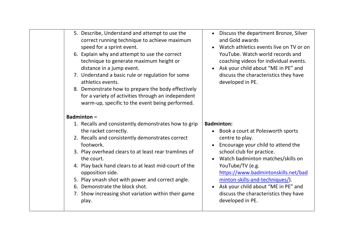| 5. Describe, Understand and attempt to use the<br>correct running technique to achieve maximum<br>speed for a sprint event.<br>6. Explain why and attempt to use the correct<br>technique to generate maximum height or<br>distance in a jump event.<br>7. Understand a basic rule or regulation for some<br>athletics events.<br>8. Demonstrate how to prepare the body effectively<br>for a variety of activities through an independent<br>warm-up, specific to the event being performed.<br><b>Badminton-</b> | Discuss the department Bronze, Silver<br>and Gold awards<br>Watch athletics events live on TV or on<br>$\bullet$<br>YouTube. Watch world records and<br>coaching videos for individual events.<br>Ask your child about "ME in PE" and<br>$\bullet$<br>discuss the characteristics they have<br>developed in PE.                                                               |
|--------------------------------------------------------------------------------------------------------------------------------------------------------------------------------------------------------------------------------------------------------------------------------------------------------------------------------------------------------------------------------------------------------------------------------------------------------------------------------------------------------------------|-------------------------------------------------------------------------------------------------------------------------------------------------------------------------------------------------------------------------------------------------------------------------------------------------------------------------------------------------------------------------------|
| 1. Recalls and consistently demonstrates how to grip                                                                                                                                                                                                                                                                                                                                                                                                                                                               | <b>Badminton:</b>                                                                                                                                                                                                                                                                                                                                                             |
| the racket correctly.<br>2. Recalls and consistently demonstrates correct<br>footwork.<br>3. Play overhead clears to at least rear tramlines of<br>the court.<br>4. Play back hand clears to at least mid-court of the<br>opposition side.<br>5. Play smash shot with power and correct angle.<br>6. Demonstrate the block shot.<br>7. Show increasing shot variation within their game<br>play.                                                                                                                   | • Book a court at Polesworth sports<br>centre to play.<br>Encourage your child to attend the<br>school club for practice.<br>Watch badminton matches/skills on<br>YouTube/TV (e.g.<br>https://www.badmintonskills.net/bad<br>minton-skills-and-techniques/).<br>Ask your child about "ME in PE" and<br>$\bullet$<br>discuss the characteristics they have<br>developed in PE. |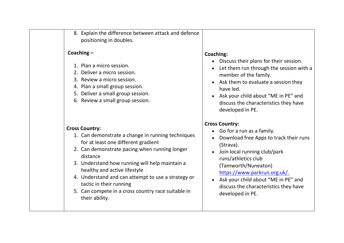| 8. Explain the difference between attack and defence<br>positioning in doubles.                                                                                                                                                                                                                                                                                                                                           |                                                                                                                                                                                                                                                                                                                                                                    |
|---------------------------------------------------------------------------------------------------------------------------------------------------------------------------------------------------------------------------------------------------------------------------------------------------------------------------------------------------------------------------------------------------------------------------|--------------------------------------------------------------------------------------------------------------------------------------------------------------------------------------------------------------------------------------------------------------------------------------------------------------------------------------------------------------------|
| Coaching $-$<br>1. Plan a micro session.<br>2. Deliver a micro session.<br>3. Review a micro session.<br>4. Plan a small group session.<br>5. Deliver a small group session.<br>6. Review a small group session.                                                                                                                                                                                                          | Coaching:<br>Discuss their plans for their session.<br>$\bullet$<br>Let them run through the session with a<br>$\bullet$<br>member of the family.<br>• Ask them to evaluate a session they<br>have led.<br>Ask your child about "ME in PE" and<br>discuss the characteristics they have<br>developed in PE.                                                        |
| <b>Cross Country:</b><br>1. Can demonstrate a change in running techniques<br>for at least one different gradient<br>2. Can demonstrate pacing when running longer<br>distance<br>3. Understand how running will help maintain a<br>healthy and active lifestyle<br>4. Understand and can attempt to use a strategy or<br>tactic in their running<br>5. Can compete in a cross country race suitable in<br>their ability. | <b>Cross Country:</b><br>Go for a run as a family.<br>$\bullet$<br>Download free Apps to track their runs<br>$\bullet$<br>(Strava).<br>Join local running club/park<br>runs/athletics club<br>(Tamworth/Nuneaton)<br>https://www.parkrun.org.uk/.<br>Ask your child about "ME in PE" and<br>$\bullet$<br>discuss the characteristics they have<br>developed in PE. |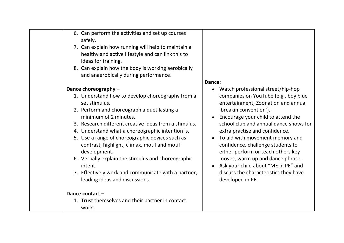| 6. Can perform the activities and set up courses<br>safely.<br>7. Can explain how running will help to maintain a<br>healthy and active lifestyle and can link this to<br>ideas for training.<br>8. Can explain how the body is working aerobically<br>and anaerobically during performance. | Dance:                                                                                                                  |
|----------------------------------------------------------------------------------------------------------------------------------------------------------------------------------------------------------------------------------------------------------------------------------------------|-------------------------------------------------------------------------------------------------------------------------|
| Dance choreography -                                                                                                                                                                                                                                                                         | Watch professional street/hip-hop<br>$\bullet$                                                                          |
| 1. Understand how to develop choreography from a<br>set stimulus.                                                                                                                                                                                                                            | companies on YouTube (e.g., boy blue<br>entertainment, Zoonation and annual                                             |
| 2. Perform and choreograph a duet lasting a<br>minimum of 2 minutes.                                                                                                                                                                                                                         | 'breakin convention').<br>Encourage your child to attend the                                                            |
| 3. Research different creative ideas from a stimulus.                                                                                                                                                                                                                                        | school club and annual dance shows for                                                                                  |
| 4. Understand what a choreographic intention is.                                                                                                                                                                                                                                             | extra practise and confidence.                                                                                          |
| 5. Use a range of choreographic devices such as<br>contrast, highlight, climax, motif and motif<br>development.                                                                                                                                                                              | To aid with movement memory and<br>$\bullet$<br>confidence, challenge students to<br>either perform or teach others key |
| 6. Verbally explain the stimulus and choreographic<br>intent.                                                                                                                                                                                                                                | moves, warm up and dance phrase.<br>Ask your child about "ME in PE" and<br>$\bullet$                                    |
| 7. Effectively work and communicate with a partner,<br>leading ideas and discussions.                                                                                                                                                                                                        | discuss the characteristics they have<br>developed in PE.                                                               |
| Dance contact-                                                                                                                                                                                                                                                                               |                                                                                                                         |
| 1. Trust themselves and their partner in contact<br>work.                                                                                                                                                                                                                                    |                                                                                                                         |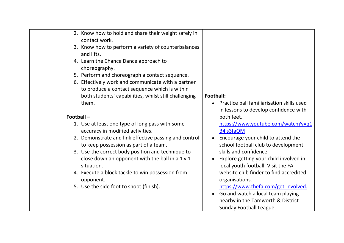| 2. Know how to hold and share their weight safely in<br>contact work.<br>3. Know how to perform a variety of counterbalances<br>and lifts.<br>4. Learn the Chance Dance approach to<br>choreography.<br>5. Perform and choreograph a contact sequence.<br>6. Effectively work and communicate with a partner<br>to produce a contact sequence which is within<br>both students' capabilities, whilst still challenging<br>them.           | Football:<br>Practice ball familiarisation skills used<br>in lessons to develop confidence with                                                                                                                                                                                                                                                                                                                                                              |
|-------------------------------------------------------------------------------------------------------------------------------------------------------------------------------------------------------------------------------------------------------------------------------------------------------------------------------------------------------------------------------------------------------------------------------------------|--------------------------------------------------------------------------------------------------------------------------------------------------------------------------------------------------------------------------------------------------------------------------------------------------------------------------------------------------------------------------------------------------------------------------------------------------------------|
|                                                                                                                                                                                                                                                                                                                                                                                                                                           |                                                                                                                                                                                                                                                                                                                                                                                                                                                              |
| Football-<br>1. Use at least one type of long pass with some<br>accuracy in modified activities.<br>2. Demonstrate and link effective passing and control<br>to keep possession as part of a team.<br>3. Use the correct body position and technique to<br>close down an opponent with the ball in a $1 \vee 1$<br>situation.<br>4. Execute a block tackle to win possession from<br>opponent.<br>5. Use the side foot to shoot (finish). | both feet.<br>https://www.youtube.com/watch?v=q1<br>B4is3faOM<br>Encourage your child to attend the<br>school football club to development<br>skills and confidence.<br>Explore getting your child involved in<br>local youth football. Visit the FA<br>website club finder to find accredited<br>organisations.<br>https://www.thefa.com/get-involved.<br>Go and watch a local team playing<br>nearby in the Tamworth & District<br>Sunday Football League. |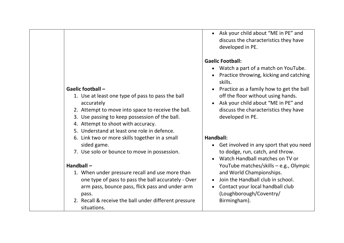#### **Gaelic football –**

- 1. Use at least one type of pass to pass the ball accurately
- 2. Attempt to move into space to receive the ball.
- 3. Use passing to keep possession of the ball.
- 4. Attempt to shoot with accuracy.
- 5. Understand at least one role in defence.
- 6. Link two or more skills together in a small sided game.
- 7. Use solo or bounce to move in possession.

#### **Handball –**

- 1. When under pressure recall and use more than one type of pass to pass the ball accurately - Over arm pass, bounce pass, flick pass and under arm pass.
- 2. Recall & receive the ball under different pressure situations.

• Ask your child about "ME in PE" and discuss the characteristics they have developed in PE.

### **Gaelic Football:**

- Watch a part of a match on YouTube.
- Practice throwing, kicking and catching skills.
- Practice as a family how to get the ball off the floor without using hands.
- Ask your child about "ME in PE" and discuss the characteristics they have developed in PE.

#### **Handball:**

- Get involved in any sport that you need to dodge, run, catch, and throw.
- Watch Handball matches on TV or YouTube matches/skills – e.g., Olympic and World Championships.
- Join the Handball club in school.
- Contact your local handball club (Loughborough/Coventry/ Birmingham).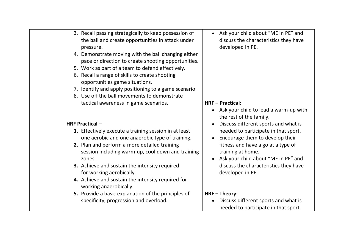| 3. Recall passing strategically to keep possession of<br>the ball and create opportunities in attack under<br>pressure.<br>4. Demonstrate moving with the ball changing either<br>pace or direction to create shooting opportunities. | • Ask your child about "ME in PE" and<br>discuss the characteristics they have<br>developed in PE. |
|---------------------------------------------------------------------------------------------------------------------------------------------------------------------------------------------------------------------------------------|----------------------------------------------------------------------------------------------------|
| 5. Work as part of a team to defend effectively.<br>6. Recall a range of skills to create shooting<br>opportunities game situations.                                                                                                  |                                                                                                    |
| 7. Identify and apply positioning to a game scenario.                                                                                                                                                                                 |                                                                                                    |
| 8. Use off the ball movements to demonstrate<br>tactical awareness in game scenarios.                                                                                                                                                 | <b>HRF-Practical:</b><br>Ask your child to lead a warm-up with<br>the rest of the family.          |
| <b>HRF Practical -</b>                                                                                                                                                                                                                | Discuss different sports and what is                                                               |
| 1. Effectively execute a training session in at least<br>one aerobic and one anaerobic type of training.                                                                                                                              | needed to participate in that sport.<br>Encourage them to develop their                            |
| 2. Plan and perform a more detailed training<br>session including warm-up, cool down and training<br>zones.                                                                                                                           | fitness and have a go at a type of<br>training at home.<br>Ask your child about "ME in PE" and     |
| 3. Achieve and sustain the intensity required<br>for working aerobically.                                                                                                                                                             | discuss the characteristics they have<br>developed in PE.                                          |
| 4. Achieve and sustain the intensity required for<br>working anaerobically.                                                                                                                                                           |                                                                                                    |
| 5. Provide a basic explanation of the principles of<br>specificity, progression and overload.                                                                                                                                         | HRF-Theory:<br>Discuss different sports and what is<br>needed to participate in that sport.        |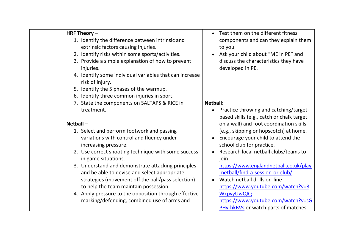| HRF Theory $-$<br>1. Identify the difference between intrinsic and<br>extrinsic factors causing injuries.<br>2. Identify risks within some sports/activities.<br>3. Provide a simple explanation of how to prevent<br>injuries.<br>4. Identify some individual variables that can increase<br>risk of injury.<br>5. Identify the 5 phases of the warmup.<br>6. Identify three common injuries in sport.                                                                                                                                                                             | Test them on the different fitness<br>components and can they explain them<br>to you.<br>Ask your child about "ME in PE" and<br>$\bullet$<br>discuss the characteristics they have<br>developed in PE.                                                                                                                                                                                                                                                                                                                                                                                                     |
|-------------------------------------------------------------------------------------------------------------------------------------------------------------------------------------------------------------------------------------------------------------------------------------------------------------------------------------------------------------------------------------------------------------------------------------------------------------------------------------------------------------------------------------------------------------------------------------|------------------------------------------------------------------------------------------------------------------------------------------------------------------------------------------------------------------------------------------------------------------------------------------------------------------------------------------------------------------------------------------------------------------------------------------------------------------------------------------------------------------------------------------------------------------------------------------------------------|
| 7. State the components on SALTAPS & RICE in<br>treatment.<br>Netball-<br>1. Select and perform footwork and passing<br>variations with control and fluency under<br>increasing pressure.<br>2. Use correct shooting technique with some success<br>in game situations.<br>3. Understand and demonstrate attacking principles<br>and be able to devise and select appropriate<br>strategies (movement off the ball/pass selection)<br>to help the team maintain possession.<br>4. Apply pressure to the opposition through effective<br>marking/defending, combined use of arms and | <b>Netball:</b><br>Practice throwing and catching/target-<br>$\bullet$<br>based skills (e.g., catch or chalk target<br>on a wall) and foot coordination skills<br>(e.g., skipping or hopscotch) at home.<br>Encourage your child to attend the<br>$\bullet$<br>school club for practice.<br>Research local netball clubs/teams to<br>$\bullet$<br>join<br>https://www.englandnetball.co.uk/play<br>-netball/find-a-session-or-club/<br>Watch netball drills on-line<br>https://www.youtube.com/watch?v=8<br><b>WxpyyUwQIQ</b><br>https://www.youtube.com/watch?v=sG<br>PHv-hkBVs or watch parts of matches |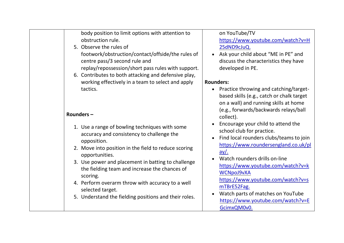| body position to limit options with attention to<br>obstruction rule.<br>5. Observe the rules of<br>footwork/obstruction/contact/offside/the rules of<br>centre pass/3 second rule and<br>replay/repossession/short pass rules with support.<br>6. Contributes to both attacking and defensive play,                                                                                                                                     | on YouTube/TV<br>https://www.youtube.com/watch?v=H<br>25dND9cJuQ.<br>Ask your child about "ME in PE" and<br>discuss the characteristics they have<br>developed in PE.                                                                                                                                                                                                                                     |
|------------------------------------------------------------------------------------------------------------------------------------------------------------------------------------------------------------------------------------------------------------------------------------------------------------------------------------------------------------------------------------------------------------------------------------------|-----------------------------------------------------------------------------------------------------------------------------------------------------------------------------------------------------------------------------------------------------------------------------------------------------------------------------------------------------------------------------------------------------------|
| working effectively in a team to select and apply                                                                                                                                                                                                                                                                                                                                                                                        | <b>Rounders:</b>                                                                                                                                                                                                                                                                                                                                                                                          |
| tactics.<br>Rounders-                                                                                                                                                                                                                                                                                                                                                                                                                    | Practice throwing and catching/target-<br>based skills (e.g., catch or chalk target<br>on a wall) and running skills at home<br>(e.g., forwards/backwards relays/ball<br>collect).                                                                                                                                                                                                                        |
| 1. Use a range of bowling techniques with some<br>accuracy and consistency to challenge the<br>opposition.<br>2. Move into position in the field to reduce scoring<br>opportunities.<br>3. Use power and placement in batting to challenge<br>the fielding team and increase the chances of<br>scoring.<br>4. Perform overarm throw with accuracy to a well<br>selected target.<br>5. Understand the fielding positions and their roles. | Encourage your child to attend the<br>school club for practice.<br>Find local rounders clubs/teams to join<br>https://www.roundersengland.co.uk/pl<br><u>ay/.</u><br>Watch rounders drills on-line<br>https://www.youtube.com/watch?v=k<br><b>WCNpoJ9vXA</b><br>https://www.youtube.com/watch?v=s<br>mTBrE52Fag.<br>Watch parts of matches on YouTube<br>https://www.youtube.com/watch?v=E<br>GcimxQM0v0. |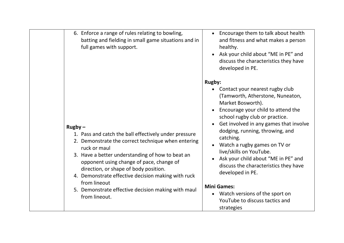| 6. Enforce a range of rules relating to bowling,<br>batting and fielding in small game situations and in<br>full games with support.                                                                                                                                                                                                                                                                                           | • Encourage them to talk about health<br>and fitness and what makes a person<br>healthy.<br>Ask your child about "ME in PE" and<br>discuss the characteristics they have<br>developed in PE.                                                                                                                                                                                                                                                                                                                                                         |
|--------------------------------------------------------------------------------------------------------------------------------------------------------------------------------------------------------------------------------------------------------------------------------------------------------------------------------------------------------------------------------------------------------------------------------|------------------------------------------------------------------------------------------------------------------------------------------------------------------------------------------------------------------------------------------------------------------------------------------------------------------------------------------------------------------------------------------------------------------------------------------------------------------------------------------------------------------------------------------------------|
| $Rugby -$<br>1. Pass and catch the ball effectively under pressure<br>2. Demonstrate the correct technique when entering<br>ruck or maul<br>3. Have a better understanding of how to beat an<br>opponent using change of pace, change of<br>direction, or shape of body position.<br>4. Demonstrate effective decision making with ruck<br>from lineout<br>5. Demonstrate effective decision making with maul<br>from lineout. | <b>Rugby:</b><br>Contact your nearest rugby club<br>(Tamworth, Atherstone, Nuneaton,<br>Market Bosworth).<br>Encourage your child to attend the<br>school rugby club or practice.<br>Get involved in any games that involve<br>dodging, running, throwing, and<br>catching.<br>Watch a rugby games on TV or<br>live/skills on YouTube.<br>Ask your child about "ME in PE" and<br>discuss the characteristics they have<br>developed in PE.<br><b>Mini Games:</b><br>• Watch versions of the sport on<br>YouTube to discuss tactics and<br>strategies |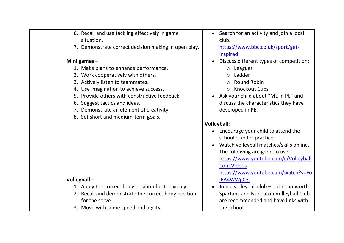| 6. Recall and use tackling effectively in game<br>situation. | • Search for an activity and join a local<br>club. |
|--------------------------------------------------------------|----------------------------------------------------|
| 7. Demonstrate correct decision making in open play.         | https://www.bbc.co.uk/sport/get-<br>inspired       |
| Mini games $-$                                               | Discuss different types of competition:            |
| 1. Make plans to enhance performance.                        | $\circ$ Leagues                                    |
| 2. Work cooperatively with others.                           | Ladder                                             |
| 3. Actively listen to teammates.                             | <b>Round Robin</b>                                 |
| 4. Use imagination to achieve success.                       | o Knockout Cups                                    |
| 5. Provide others with constructive feedback.                | • Ask your child about "ME in PE" and              |
| 6. Suggest tactics and ideas.                                | discuss the characteristics they have              |
| 7. Demonstrate an element of creativity.                     | developed in PE.                                   |
| 8. Set short and medium-term goals.                          |                                                    |
|                                                              |                                                    |
|                                                              | <b>Volleyball:</b>                                 |
|                                                              | Encourage your child to attend the                 |
|                                                              | school club for practice.                          |
|                                                              | Watch volleyball matches/skills online.            |
|                                                              | The following are good to use:                     |
|                                                              | https://www.youtube.com/c/Volleyball               |
|                                                              | 1on1Videos                                         |
|                                                              | https://www.youtube.com/watch?v=Fo                 |
| Volleyball-                                                  | j6A4WWgCg.                                         |
| 1. Apply the correct body position for the volley.           | Join a volleyball club - both Tamworth             |
| 2. Recall and demonstrate the correct body position          | Spartans and Nuneaton Volleyball Club              |
| for the serve.<br>3. Move with some speed and agility.       | are recommended and have links with<br>the school. |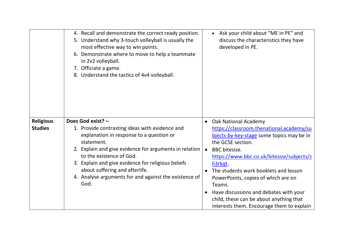|                  | 4. Recall and demonstrate the correct ready position.<br>5. Understand why 3-touch volleyball is usually the<br>most effective way to win points.<br>6. Demonstrate where to move to help a teammate<br>in 2v2 volleyball.<br>7. Officiate a game.<br>8. Understand the tactics of 4v4 volleyball. |           | Ask your child about "ME in PE" and<br>discuss the characteristics they have<br>developed in PE. |
|------------------|----------------------------------------------------------------------------------------------------------------------------------------------------------------------------------------------------------------------------------------------------------------------------------------------------|-----------|--------------------------------------------------------------------------------------------------|
| <b>Religious</b> | Does God exist? -                                                                                                                                                                                                                                                                                  |           | • Oak National Academy                                                                           |
| <b>Studies</b>   | 1. Provide contrasting ideas with evidence and<br>explanation in response to a question or                                                                                                                                                                                                         |           | https://classroom.thenational.academy/su<br>bjects-by-key-stage some topics may be in            |
|                  | statement.                                                                                                                                                                                                                                                                                         |           | the GCSE section.                                                                                |
|                  | 2. Explain and give evidence for arguments in relation                                                                                                                                                                                                                                             | $\bullet$ | <b>BBC</b> bitesize.                                                                             |
|                  | to the existence of God.                                                                                                                                                                                                                                                                           |           | https://www.bbc.co.uk/bitesize/subjects/z                                                        |
|                  | 3. Explain and give evidence for religious beliefs                                                                                                                                                                                                                                                 |           | h3rkqt.                                                                                          |
|                  | about suffering and afterlife.<br>4. Analyse arguments for and against the existence of                                                                                                                                                                                                            | $\bullet$ | The students work booklets and lesson                                                            |
|                  | God.                                                                                                                                                                                                                                                                                               |           | PowerPoints, copies of which are on<br>Teams.                                                    |
|                  |                                                                                                                                                                                                                                                                                                    |           | Have discussions and debates with your                                                           |
|                  |                                                                                                                                                                                                                                                                                                    |           | child, these can be about anything that                                                          |
|                  |                                                                                                                                                                                                                                                                                                    |           | interests them. Encourage them to explain                                                        |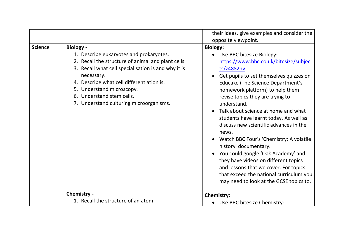|                |                                                                                                                                                                                                                                                                                                                                          | their ideas, give examples and consider the<br>opposite viewpoint.                                                                                                                                                                                                                                                                                                                                                                                                                                                                                                                                                                                                                              |
|----------------|------------------------------------------------------------------------------------------------------------------------------------------------------------------------------------------------------------------------------------------------------------------------------------------------------------------------------------------|-------------------------------------------------------------------------------------------------------------------------------------------------------------------------------------------------------------------------------------------------------------------------------------------------------------------------------------------------------------------------------------------------------------------------------------------------------------------------------------------------------------------------------------------------------------------------------------------------------------------------------------------------------------------------------------------------|
| <b>Science</b> | <b>Biology -</b><br>1. Describe eukaryotes and prokaryotes.<br>2. Recall the structure of animal and plant cells.<br>3. Recall what cell specialisation is and why it is<br>necessary.<br>4. Describe what cell differentiation is.<br>5. Understand microscopy.<br>6. Understand stem cells.<br>7. Understand culturing microorganisms. | <b>Biology:</b><br>Use BBC bitesize Biology:<br>https://www.bbc.co.uk/bitesize/subjec<br>ts/z4882hv.<br>Get pupils to set themselves quizzes on<br>Educake (The Science Department's<br>homework platform) to help them<br>revise topics they are trying to<br>understand.<br>Talk about science at home and what<br>students have learnt today. As well as<br>discuss new scientific advances in the<br>news.<br>Watch BBC Four's 'Chemistry: A volatile<br>history' documentary.<br>You could google 'Oak Academy' and<br>they have videos on different topics<br>and lessons that we cover. For topics<br>that exceed the national curriculum you<br>may need to look at the GCSE topics to. |
|                | Chemistry -<br>1. Recall the structure of an atom.                                                                                                                                                                                                                                                                                       | <b>Chemistry:</b><br>Use BBC bitesize Chemistry:                                                                                                                                                                                                                                                                                                                                                                                                                                                                                                                                                                                                                                                |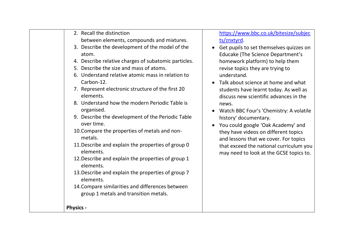| 3. Describe the development of the model of the<br>atom.<br>4. Describe relative charges of subatomic particles.<br>5. Describe the size and mass of atoms.<br>6. Understand relative atomic mass in relation to<br>Carbon-12.<br>7. Represent electronic structure of the first 20<br>elements.<br>8. Understand how the modern Periodic Table is<br>organised.<br>9. Describe the development of the Periodic Table<br>over time.<br>10. Compare the properties of metals and non-<br>metals.<br>11. Describe and explain the properties of group 0<br>elements.<br>12. Describe and explain the properties of group 1<br>elements.<br>13. Describe and explain the properties of group 7<br>elements.<br>14. Compare similarities and differences between<br>group 1 metals and transition metals.<br><b>Physics -</b> | homework platform) to help them<br>revise topics they are trying to<br>understand.<br>Talk about science at home and what<br>students have learnt today. As well as<br>discuss new scientific advances in the<br>news.<br>Watch BBC Four's 'Chemistry: A volatile<br>history' documentary.<br>You could google 'Oak Academy' and<br>they have videos on different topics<br>and lessons that we cover. For topics<br>that exceed the national curriculum you<br>may need to look at the GCSE topics to. |
|---------------------------------------------------------------------------------------------------------------------------------------------------------------------------------------------------------------------------------------------------------------------------------------------------------------------------------------------------------------------------------------------------------------------------------------------------------------------------------------------------------------------------------------------------------------------------------------------------------------------------------------------------------------------------------------------------------------------------------------------------------------------------------------------------------------------------|---------------------------------------------------------------------------------------------------------------------------------------------------------------------------------------------------------------------------------------------------------------------------------------------------------------------------------------------------------------------------------------------------------------------------------------------------------------------------------------------------------|
|---------------------------------------------------------------------------------------------------------------------------------------------------------------------------------------------------------------------------------------------------------------------------------------------------------------------------------------------------------------------------------------------------------------------------------------------------------------------------------------------------------------------------------------------------------------------------------------------------------------------------------------------------------------------------------------------------------------------------------------------------------------------------------------------------------------------------|---------------------------------------------------------------------------------------------------------------------------------------------------------------------------------------------------------------------------------------------------------------------------------------------------------------------------------------------------------------------------------------------------------------------------------------------------------------------------------------------------------|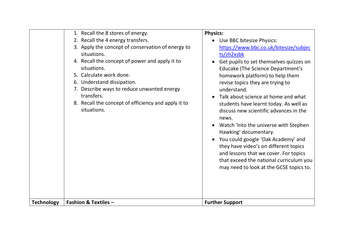|                   | 1. Recall the 8 stores of energy.<br>2. Recall the 4 energy transfers.<br>3. Apply the concept of conservation of energy to<br>situations.<br>4. Recall the concept of power and apply it to<br>situations.<br>5. Calculate work done.<br>6. Understand dissipation.<br>7. Describe ways to reduce unwanted energy<br>transfers.<br>8. Recall the concept of efficiency and apply it to<br>situations. | <b>Physics:</b><br>Use BBC bitesize Physics:<br>https://www.bbc.co.uk/bitesize/subjec<br>ts/zh2xsbk<br>Get pupils to set themselves quizzes on<br><b>Educake (The Science Department's</b><br>homework platform) to help them<br>revise topics they are trying to<br>understand.<br>Talk about science at home and what<br>students have learnt today. As well as<br>discuss new scientific advances in the<br>news.<br>Watch 'Into the universe with Stephen<br>Hawking' documentary.<br>You could google 'Oak Academy' and<br>they have video's on different topics<br>and lessons that we cover. For topics<br>that exceed the national curriculum you<br>may need to look at the GCSE topics to. |
|-------------------|--------------------------------------------------------------------------------------------------------------------------------------------------------------------------------------------------------------------------------------------------------------------------------------------------------------------------------------------------------------------------------------------------------|------------------------------------------------------------------------------------------------------------------------------------------------------------------------------------------------------------------------------------------------------------------------------------------------------------------------------------------------------------------------------------------------------------------------------------------------------------------------------------------------------------------------------------------------------------------------------------------------------------------------------------------------------------------------------------------------------|
| <b>Technology</b> | <b>Fashion &amp; Textiles -</b>                                                                                                                                                                                                                                                                                                                                                                        | <b>Further Support</b>                                                                                                                                                                                                                                                                                                                                                                                                                                                                                                                                                                                                                                                                               |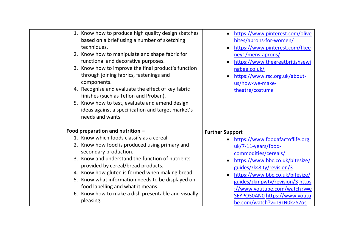| 1. Know how to produce high quality design sketches<br>based on a brief using a number of sketching<br>techniques.<br>2. Know how to manipulate and shape fabric for<br>functional and decorative purposes.<br>3. Know how to improve the final product's function<br>through joining fabrics, fastenings and<br>components.<br>4. Recognise and evaluate the effect of key fabric<br>finishes (such as Teflon and Proban).<br>5. Know how to test, evaluate and amend design<br>ideas against a specification and target market's<br>needs and wants. | https://www.pinterest.com/olive<br>bites/aprons-for-women/<br>https://www.pinterest.com/tkee<br>ney1/mens-aprons/<br>https://www.thegreatbritishsewi<br>ngbee.co.uk/<br>https://www.rsc.org.uk/about-<br>us/how-we-make-<br>theatre/costume |
|--------------------------------------------------------------------------------------------------------------------------------------------------------------------------------------------------------------------------------------------------------------------------------------------------------------------------------------------------------------------------------------------------------------------------------------------------------------------------------------------------------------------------------------------------------|---------------------------------------------------------------------------------------------------------------------------------------------------------------------------------------------------------------------------------------------|
| Food preparation and nutrition $-$                                                                                                                                                                                                                                                                                                                                                                                                                                                                                                                     | <b>Further Support</b>                                                                                                                                                                                                                      |
| 1. Know which foods classify as a cereal.                                                                                                                                                                                                                                                                                                                                                                                                                                                                                                              | https://www.foodafactoflife.org.                                                                                                                                                                                                            |
| 2. Know how food is produced using primary and                                                                                                                                                                                                                                                                                                                                                                                                                                                                                                         | uk/7-11-years/food-                                                                                                                                                                                                                         |
| secondary production.                                                                                                                                                                                                                                                                                                                                                                                                                                                                                                                                  | commodities/cereals/                                                                                                                                                                                                                        |
| 3. Know and understand the function of nutrients<br>provided by cereal/bread products.                                                                                                                                                                                                                                                                                                                                                                                                                                                                 | https://www.bbc.co.uk/bitesize/                                                                                                                                                                                                             |
| 4. Know how gluten is formed when making bread.                                                                                                                                                                                                                                                                                                                                                                                                                                                                                                        | guides/zks8jty/revision/3                                                                                                                                                                                                                   |
| 5. Know what information needs to be displayed on                                                                                                                                                                                                                                                                                                                                                                                                                                                                                                      | https://www.bbc.co.uk/bitesize/<br>guides/zkmpwty/revision/3 https                                                                                                                                                                          |
| food labelling and what it means.                                                                                                                                                                                                                                                                                                                                                                                                                                                                                                                      | ://www.youtube.com/watch?v=e                                                                                                                                                                                                                |
| 6. Know how to make a dish presentable and visually<br>pleasing.                                                                                                                                                                                                                                                                                                                                                                                                                                                                                       | SEYPO30AN0 https://www.youtu                                                                                                                                                                                                                |
|                                                                                                                                                                                                                                                                                                                                                                                                                                                                                                                                                        |                                                                                                                                                                                                                                             |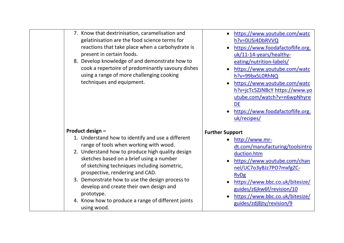| 7. Know that dextrinisation, caramelisation and<br>gelatinisation are the food science terms for<br>reactions that take place when a carbohydrate is<br>present in certain foods.<br>8. Develop knowledge of and demonstrate how to<br>cook a repertoire of predominantly savoury dishes<br>using a range of more challenging cooking<br>techniques and equipment.                                                                                                   | https://www.youtube.com/watc<br>h?v=0USi4DbRVVQ<br>https://www.foodafactoflife.org.<br>uk/11-14-years/healthy-<br>eating/nutrition-labels/<br>https://www.youtube.com/watc<br>h?v=99bx5L0RhNQ<br>https://www.youtube.com/watc<br>h?v=jcTc5ZJNBcY https://www.yo<br>utube.com/watch?v=n6wpNhyre<br>DE<br>https://www.foodafactoflife.org.<br>uk/recipes/ |
|----------------------------------------------------------------------------------------------------------------------------------------------------------------------------------------------------------------------------------------------------------------------------------------------------------------------------------------------------------------------------------------------------------------------------------------------------------------------|---------------------------------------------------------------------------------------------------------------------------------------------------------------------------------------------------------------------------------------------------------------------------------------------------------------------------------------------------------|
| Product design -<br>1. Understand how to identify and use a different<br>range of tools when working with wood.<br>2. Understand how to produce high quality design<br>sketches based on a brief using a number<br>of sketching techniques including isometric,<br>prospective, rendering and CAD.<br>3. Demonstrate how to use the design process to<br>develop and create their own design and<br>prototype.<br>4. Know how to produce a range of different joints | <b>Further Support</b><br>http://www.mr-<br>dt.com/manufacturing/toolsintro<br>duction.htm<br>https://www.youtube.com/chan<br>nel/UC7o3yBJz7PO7mxfgZC-<br><b>RvDg</b><br>https://www.bbc.co.uk/bitesize/<br>guides/z6jkw6f/revision/10<br>https://www.bbc.co.uk/bitesize/                                                                               |
| using wood.                                                                                                                                                                                                                                                                                                                                                                                                                                                          | guides/zdj8jty/revision/9                                                                                                                                                                                                                                                                                                                               |